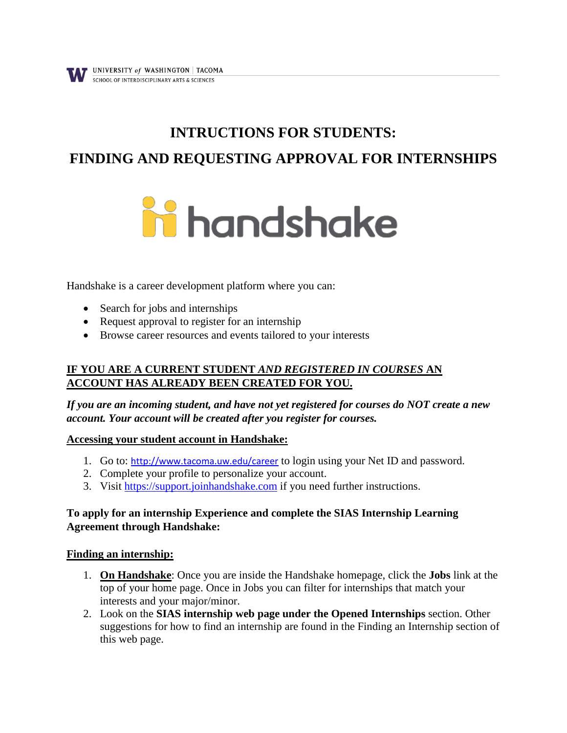# **INTRUCTIONS FOR STUDENTS:**

# **FINDING AND REQUESTING APPROVAL FOR INTERNSHIPS**



Handshake is a career development platform where you can:

- Search for jobs and internships
- Request approval to register for an internship
- Browse career resources and events tailored to your interests

### **IF YOU ARE A CURRENT STUDENT** *AND REGISTERED IN COURSES* **AN ACCOUNT HAS ALREADY BEEN CREATED FOR YOU.**

*If you are an incoming student, and have not yet registered for courses do NOT create a new account. Your account will be created after you register for courses.*

#### **Accessing your student account in Handshake:**

- 1. Go to: <http://www.tacoma.uw.edu/career> to login using your Net ID and password.
- 2. Complete your profile to personalize your account.
- 3. Visit https://support.joinhandshake.com if you need further instructions.

#### **To apply for an internship Experience and complete the SIAS Internship Learning Agreement through Handshake:**

#### **Finding an internship:**

- 1. **On Handshake**: Once you are inside the Handshake homepage, click the **Jobs** link at the top of your home page. Once in Jobs you can filter for internships that match your interests and your major/minor.
- 2. Look on the **SIAS internship web page under the Opened Internships** section. Other suggestions for how to find an internship are found in the Finding an Internship section of this web page.